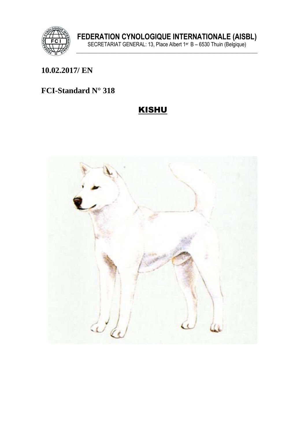

## 10.02.2017/ EN

### FCI-Standard N° 318

# **KISHU**

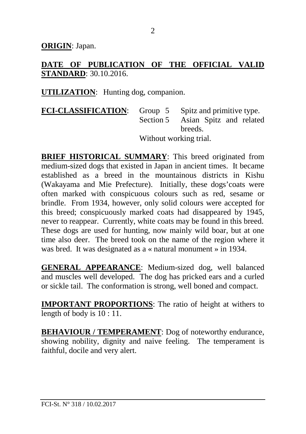**ORIGIN**: Japan.

**DATE OF PUBLICATION OF THE OFFICIAL VALID STANDARD**: 30.10.2016.

**UTILIZATION**: Hunting dog, companion.

**FCI-CLASSIFICATION**: Group 5 Spitz and primitive type. Section 5 Asian Spitz and related breeds. Without working trial.

**BRIEF HISTORICAL SUMMARY**: This breed originated from medium-sized dogs that existed in Japan in ancient times. It became established as a breed in the mountainous districts in Kishu (Wakayama and Mie Prefecture). Initially, these dogs'coats were often marked with conspicuous colours such as red, sesame or brindle. From 1934, however, only solid colours were accepted for this breed; conspicuously marked coats had disappeared by 1945, never to reappear. Currently, white coats may be found in this breed. These dogs are used for hunting, now mainly wild boar, but at one time also deer. The breed took on the name of the region where it was bred. It was designated as a « natural monument » in 1934.

**GENERAL APPEARANCE**: Medium-sized dog, well balanced and muscles well developed. The dog has pricked ears and a curled or sickle tail. The conformation is strong, well boned and compact.

**IMPORTANT PROPORTIONS**: The ratio of height at withers to length of body is  $10:11$ .

**BEHAVIOUR / TEMPERAMENT**: Dog of noteworthy endurance, showing nobility, dignity and naive feeling. The temperament is faithful, docile and very alert.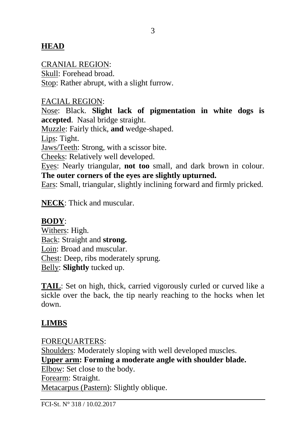### **HEAD**

#### CRANIAL REGION:

Skull: Forehead broad. Stop: Rather abrupt, with a slight furrow.

#### FACIAL REGION:

Nose: Black. **Slight lack of pigmentation in white dogs is accepted**. Nasal bridge straight.

Muzzle: Fairly thick, **and** wedge-shaped.

Lips: Tight.

Jaws/Teeth: Strong, with a scissor bite.

Cheeks: Relatively well developed.

Eyes: Nearly triangular, **not too** small, and dark brown in colour. **The outer corners of the eyes are slightly upturned.** 

Ears: Small, triangular, slightly inclining forward and firmly pricked.

**NECK**: Thick and muscular.

#### **BODY**:

Withers: High. Back: Straight and **strong.** Loin: Broad and muscular. Chest: Deep, ribs moderately sprung. Belly: **Slightly** tucked up.

**TAIL**: Set on high, thick, carried vigorously curled or curved like a sickle over the back, the tip nearly reaching to the hocks when let down.

### **LIMBS**

FOREQUARTERS: Shoulders: Moderately sloping with well developed muscles. **Upper arm: Forming a moderate angle with shoulder blade.**  Elbow: Set close to the body. Forearm: Straight. Metacarpus (Pastern): Slightly oblique.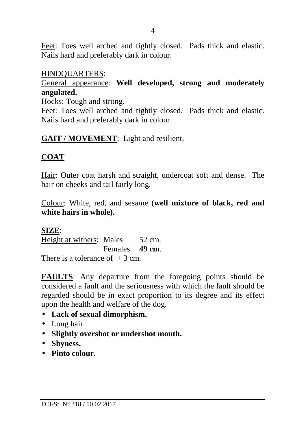Feet: Toes well arched and tightly closed. Pads thick and elastic. Nails hard and preferably dark in colour.

#### HINDQUARTERS:

General appearance: **Well developed, strong and moderately angulated.**

Hocks: Tough and strong.

Feet: Toes well arched and tightly closed. Pads thick and elastic. Nails hard and preferably dark in colour.

**GAIT / MOVEMENT**: Light and resilient.

### **COAT**

Hair: Outer coat harsh and straight, undercoat soft and dense. The hair on cheeks and tail fairly long.

Colour: White, red, and sesame (**well mixture of black, red and white hairs in whole).** 

#### **SIZE**:

Height at withers: Males 52 cm. Females **49 cm**. There is a tolerance of  $+3$  cm.

**FAULTS**: Any departure from the foregoing points should be considered a fault and the seriousness with which the fault should be regarded should be in exact proportion to its degree and its effect upon the health and welfare of the dog.

### • **Lack of sexual dimorphism.**

- Long hair.
- **Slightly overshot or undershot mouth.**
- **Shyness.**
- **Pinto colour.**